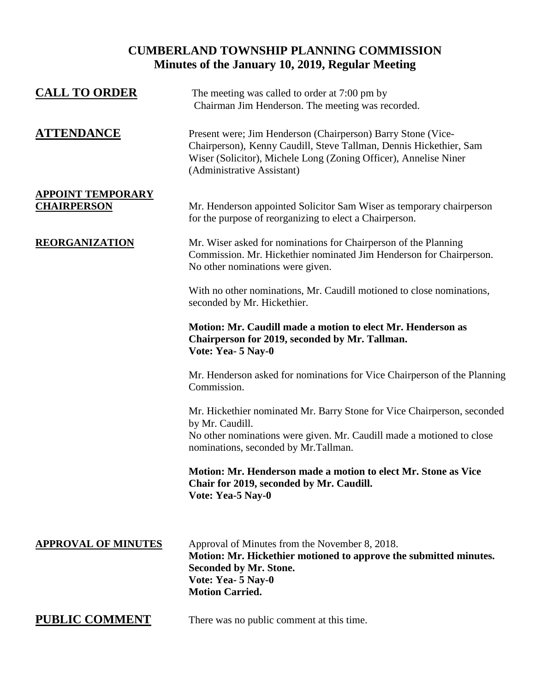# **CUMBERLAND TOWNSHIP PLANNING COMMISSION Minutes of the January 10, 2019, Regular Meeting**

| <b>CALL TO ORDER</b>                           | The meeting was called to order at 7:00 pm by<br>Chairman Jim Henderson. The meeting was recorded.                                                                                                                                   |
|------------------------------------------------|--------------------------------------------------------------------------------------------------------------------------------------------------------------------------------------------------------------------------------------|
| <b>ATTENDANCE</b>                              | Present were; Jim Henderson (Chairperson) Barry Stone (Vice-<br>Chairperson), Kenny Caudill, Steve Tallman, Dennis Hickethier, Sam<br>Wiser (Solicitor), Michele Long (Zoning Officer), Annelise Niner<br>(Administrative Assistant) |
| <b>APPOINT TEMPORARY</b><br><b>CHAIRPERSON</b> | Mr. Henderson appointed Solicitor Sam Wiser as temporary chairperson<br>for the purpose of reorganizing to elect a Chairperson.                                                                                                      |
| <b>REORGANIZATION</b>                          | Mr. Wiser asked for nominations for Chairperson of the Planning<br>Commission. Mr. Hickethier nominated Jim Henderson for Chairperson.<br>No other nominations were given.                                                           |
|                                                | With no other nominations, Mr. Caudill motioned to close nominations,<br>seconded by Mr. Hickethier.                                                                                                                                 |
|                                                | Motion: Mr. Caudill made a motion to elect Mr. Henderson as<br>Chairperson for 2019, seconded by Mr. Tallman.<br>Vote: Yea- 5 Nay-0                                                                                                  |
|                                                | Mr. Henderson asked for nominations for Vice Chairperson of the Planning<br>Commission.                                                                                                                                              |
|                                                | Mr. Hickethier nominated Mr. Barry Stone for Vice Chairperson, seconded<br>by Mr. Caudill.<br>No other nominations were given. Mr. Caudill made a motioned to close<br>nominations, seconded by Mr.Tallman.                          |
|                                                | Motion: Mr. Henderson made a motion to elect Mr. Stone as Vice<br>Chair for 2019, seconded by Mr. Caudill.<br>Vote: Yea-5 Nay-0                                                                                                      |
| <b>APPROVAL OF MINUTES</b>                     | Approval of Minutes from the November 8, 2018.<br>Motion: Mr. Hickethier motioned to approve the submitted minutes.<br>Seconded by Mr. Stone.<br>Vote: Yea- 5 Nay-0<br><b>Motion Carried.</b>                                        |
| <b>PUBLIC COMMENT</b>                          | There was no public comment at this time.                                                                                                                                                                                            |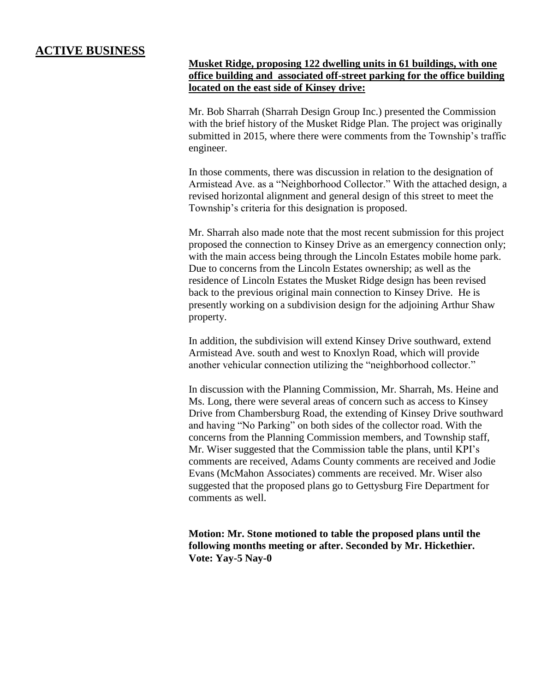## **ACTIVE BUSINESS**

### **Musket Ridge, proposing 122 dwelling units in 61 buildings, with one office building and associated off-street parking for the office building located on the east side of Kinsey drive:**

Mr. Bob Sharrah (Sharrah Design Group Inc.) presented the Commission with the brief history of the Musket Ridge Plan. The project was originally submitted in 2015, where there were comments from the Township's traffic engineer.

In those comments, there was discussion in relation to the designation of Armistead Ave. as a "Neighborhood Collector." With the attached design, a revised horizontal alignment and general design of this street to meet the Township's criteria for this designation is proposed.

Mr. Sharrah also made note that the most recent submission for this project proposed the connection to Kinsey Drive as an emergency connection only; with the main access being through the Lincoln Estates mobile home park. Due to concerns from the Lincoln Estates ownership; as well as the residence of Lincoln Estates the Musket Ridge design has been revised back to the previous original main connection to Kinsey Drive. He is presently working on a subdivision design for the adjoining Arthur Shaw property.

In addition, the subdivision will extend Kinsey Drive southward, extend Armistead Ave. south and west to Knoxlyn Road, which will provide another vehicular connection utilizing the "neighborhood collector."

In discussion with the Planning Commission, Mr. Sharrah, Ms. Heine and Ms. Long, there were several areas of concern such as access to Kinsey Drive from Chambersburg Road, the extending of Kinsey Drive southward and having "No Parking" on both sides of the collector road. With the concerns from the Planning Commission members, and Township staff, Mr. Wiser suggested that the Commission table the plans, until KPI's comments are received, Adams County comments are received and Jodie Evans (McMahon Associates) comments are received. Mr. Wiser also suggested that the proposed plans go to Gettysburg Fire Department for comments as well.

**Motion: Mr. Stone motioned to table the proposed plans until the following months meeting or after. Seconded by Mr. Hickethier. Vote: Yay-5 Nay-0**